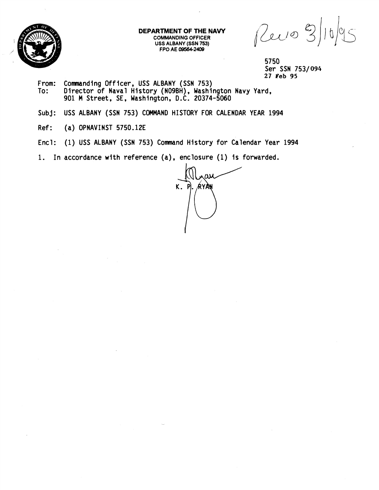

**DEPARTMENT OF THE NAVY COMMANDING OFFICER USS ALBANY (SSN 753) FPO AE 095644.2409** 

Revo 3)  $|e|<$ 

5750 Ser SSN 753/094 27 Feb 95

- From: Commanding Officer, USS ALBANY (SSN 753)<br>To: Director of Naval History (NO9BH). Washi To: Director of Naval History (NOgBH), Washington Navy Yard, 901 **M** Street, SE, Washington, D.C. 20374-5060
- Subj: USS ALBANY (SSN 753) COMMAND HISTORY FOR CALENDAR YEAR 1994
- Ref: (a) OPNAVINST 5750.12E
- Encl: (1) USS ALBANY (SSN 753) Command History for Calendar Year 1994

1. In accordance with reference (a), enclosure (1) is forwarded.

K. ÁYÀN P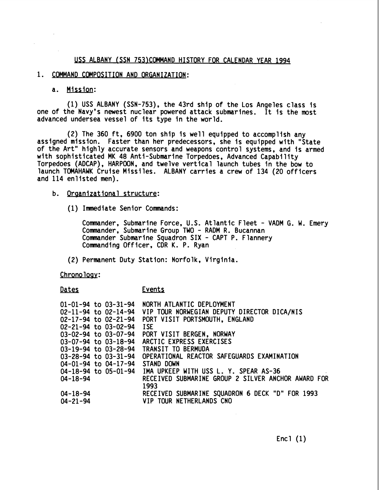### US ALBANY (SSN 753)COMMAND HISTORY FOR CALENDAR YEAR 1994

# 1. COMMAND COMPOSITION AND ORGANIZATION:

### a. Mission:

(1) USS ALBANY (SSN-753), the 43rd ship of the Los Angeles class is one of the Navy's newest nuclear powered attack submarines. It is the most advanced undersea vessel of its type in the world.

(2) The 360 ft, 6900 ton ship is well equipped to accomplish any assigned mission. Faster than her predecessors, she is equipped with "State of the Art" highly accurate sensors and weapons control systems, and is armed with sophisticated MK 48 Anti-Submarine Torpedoes, Advanced Capability Torpedoes (ADCAP), HARPOON, and twelve vertical launch tubes in the bow to launch TOMAHAWK Cruise Missiles. ALBANY carries a crew of 134 (20 officers and 114 enlisted men).

# b. Organizational structure:

(1) Immediate Senior Commands:

Commander, Submarine Force, U.S. Atlantic Fleet - VADM G. W. Emery Commander, Submarine Group TWO - RADM R. Bucannan Commander Submarine Squadron SIX - CAPT P. Flannery Commanding Officer, CDR K. P. Ryan

(2) Permanent Duty Station: Norfolk, Virginia.

Chronology:

#### Dates Events

| $01 - 01 - 94$ to $03 - 31 - 94$ | NORTH ATLANTIC DEPLOYMENT                          |
|----------------------------------|----------------------------------------------------|
| $02 - 11 - 94$ to $02 - 14 - 94$ | VIP TOUR NORWEGIAN DEPUTY DIRECTOR DICA/NIS        |
| $02 - 17 - 94$ to $02 - 21 - 94$ | PORT VISIT PORTSMOUTH, ENGLAND                     |
| 02-21-94 to 03-02-94             | <b>ISE</b>                                         |
| $03-02-94$ to $03-07-94$         | PORT VISIT BERGEN, NORWAY                          |
| $03-07-94$ to $03-18-94$         | ARCTIC EXPRESS EXERCISES                           |
| 03-19-94 to 03-28-94             | <b>TRANSIT TO BERMUDA</b>                          |
| $03 - 28 - 94$ to $03 - 31 - 94$ | OPERATIONAL REACTOR SAFEGUARDS EXAMINATION         |
| $04 - 01 - 94$ to $04 - 17 - 94$ | STAND DOWN                                         |
| $04-18-94$ to $05-01-94$         | IMA UPKEEP WITH USS L. Y. SPEAR AS-36              |
| 04-18-94                         | RECEIVED SUBMARINE GROUP 2 SILVER ANCHOR AWARD FOR |
|                                  | 1993                                               |
| $04 - 18 - 94$                   | RECEIVED SUBMARINE SQUADRON 6 DECK "D" FOR 1993    |
| $04 - 21 - 94$                   | VIP TOUR NETHERLANDS CNO                           |
|                                  |                                                    |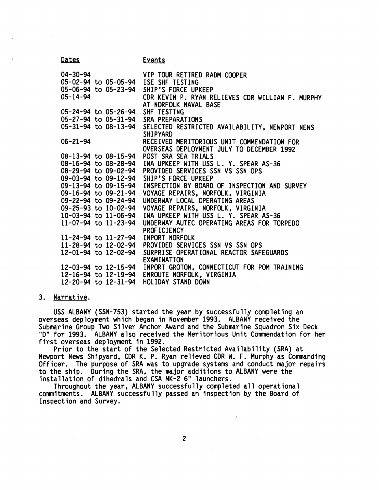| Dates                                    | <b>Events</b>                                                             |
|------------------------------------------|---------------------------------------------------------------------------|
| 04-30-94                                 | VIP TOUR RETIRED RADM COOPER                                              |
| 05-02-94 to 05-05-94 ISE SHF TESTING     |                                                                           |
| 05-06-94 to 05-23-94 SHIP'S FORCE UPKEEP |                                                                           |
| $05 - 14 - 94$                           | CDR KEVIN P. RYAN RELIEVES CDR WILLIAM F. MURPHY<br>AT NORFOLK NAVAL BASE |
| 05-24-94 to 05-26-94                     | SHF TESTING                                                               |
| 05-27-94 to 05-31-94                     | SRA PREPARATIONS                                                          |
|                                          | 05-31-94 to 08-13-94 SELECTED RESTRICTED AVAILABILITY, NEWPORT NEWS       |
|                                          | <b>SHIPYARD</b>                                                           |
| $06 - 21 - 94$                           | RECEIVED MERITORIOUS UNIT COMMENDATION FOR                                |
|                                          | OVERSEAS DEPLOYMENT JULY TO DECEMBER 1992                                 |
| 08-13-94 to 08-15-94                     | POST SRA SEA TRIALS                                                       |
|                                          | 08-16-94 to 08-28-94 IMA UPKEEP WITH USS L. Y. SPEAR AS-36                |
| 08-29-94 to 09-02-94                     | PROVIDED SERVICES SSN VS SSN OPS                                          |
| 09-03-94 to 09-12-94 SHIP'S FORCE UPKEEP |                                                                           |
| 09-13-94 to 09-15-94                     | INSPECTION BY BOARD OF INSPECTION AND SURVEY                              |
| 09-16-94 to 09-21-94                     | VOYAGE REPAIRS, NORFOLK, VIRGINIA                                         |
| 09-22-94 to 09-24-94                     | UNDERWAY LOCAL OPERATING AREAS                                            |
|                                          | 09-25-93 to 10-02-94 VOYAGE REPAIRS, NORFOLK, VIRGINIA                    |
|                                          | 10-03-94 to 11-06-94 IMA UPKEEP WITH USS L. Y. SPEAR AS-36                |
| $11 - 07 - 94$ to $11 - 23 - 94$         | UNDERWAY AUTEC OPERATING AREAS FOR TORPEDO                                |
|                                          | PROFICIENCY                                                               |
| 11-24-94 to 11-27-94 INPORT NORFOLK      |                                                                           |
|                                          | 11-28-94 to 12-02-94 PROVIDED SERVICES SSN VS SSN OPS                     |
| 12-01-94 to 12-02-94                     | SURPRISE OPERATIONAL REACTOR SAFEGUARDS                                   |
|                                          | EXAMINATION                                                               |
|                                          | 12-03-94 to 12-15-94 INPORT GROTON, CONNECTICUT FOR POM TRAINING          |
| 12-16-94 to 12-19-94                     | ENROUTE NORFOLK, VIRGINIA                                                 |
| 12-20-94 to 12-31-94                     | HOLIDAY STAND DOWN                                                        |
|                                          |                                                                           |

# 3. Narrative.

USS ALBANY (SSN-753) started the year by successfully completing an overseas deployment which began in November 1993. ALBANY received the Submarine Group Two Silver Anchor Award and the Submarine Squadron Six Deck "D" for 1993. ALBANY also received the Meritorious Unit Commendation for her first overseas deployment in 1992.

Prior to the start of the Selected Restricted Availability (SRA) at Newport News Shipyard, CDR K. P. Ryan relieved CDR W. F. Murphy as Commanding Officer. The purpose of SRA was to upgrade systems and conduct major repairs to the ship. During the SRA, the major additions to ALBANY were the installation of dihedrals and CSA MK-2 6" launchers.

Throughout the year, ALBANY successfully completed all operational commitments. ALBANY successfully passed an inspection by the Board of Inspection and Survey.

 $\overline{I}$